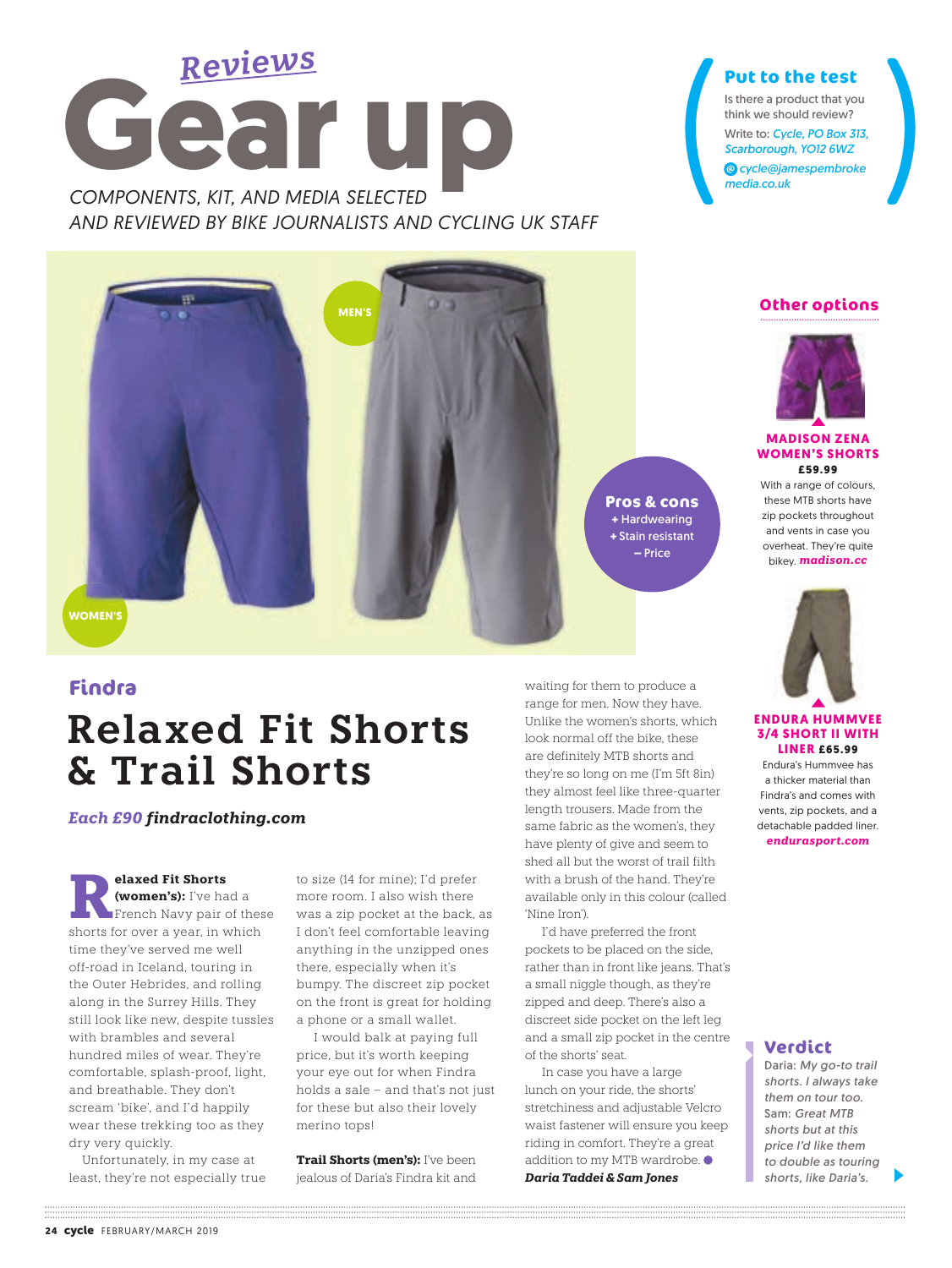

*AND REVIEWED BY BIKE JOURNALISTS AND CYCLING UK STAFF*

## **Put to the test**

Put to the test<br>
Is there a product that you<br>
think we should review?<br>
Write to: Cycle, PO Box 313,<br>
Scarborough, YO12 6WZ<br>
© cycle@jamespembroke<br>
media.co.uk Is there a product that you think we should review? Write to: *Cycle, PO Box 313, Scarborough, YO12 6WZ cycle@jamespembroke media.co.uk*



#### **Findra**

# **Relaxed Fit Shorts & Trail Shorts**

*Each £90 findraclothing.com*

**Relaxed Fit Shorts<br>
<b>Relaxed Fit Shorts**<br> **Relaxed Fit Shorts**<br> **French Navy pair of these**<br> **Shorts** for over a year in which **(women's):** I've had a shorts for over a year, in which time they've served me well off-road in Iceland, touring in the Outer Hebrides, and rolling along in the Surrey Hills. They still look like new, despite tussles with brambles and several hundred miles of wear. They're comfortable, splash-proof, light, and breathable. They don't scream 'bike', and I'd happily wear these trekking too as they dry very quickly.

 Unfortunately, in my case at least, they're not especially true to size (14 for mine); I'd prefer more room. I also wish there was a zip pocket at the back, as I don't feel comfortable leaving anything in the unzipped ones there, especially when it's bumpy. The discreet zip pocket on the front is great for holding a phone or a small wallet.

 I would balk at paying full price, but it's worth keeping your eye out for when Findra holds a sale – and that's not just for these but also their lovely merino tops!

**Trail Shorts (men's):** I've been jealous of Daria's Findra kit and

waiting for them to produce a range for men. Now they have. Unlike the women's shorts, which look normal off the bike, these are definitely MTB shorts and they're so long on me (I'm 5ft 8in) they almost feel like three-quarter length trousers. Made from the same fabric as the women's, they have plenty of give and seem to shed all but the worst of trail filth with a brush of the hand. They're available only in this colour (called 'Nine Iron').

 I'd have preferred the front pockets to be placed on the side, rather than in front like jeans. That's a small niggle though, as they're zipped and deep. There's also a discreet side pocket on the left leg and a small zip pocket in the centre of the shorts' seat.

 In case you have a large lunch on your ride, the shorts' stretchiness and adjustable Velcro waist fastener will ensure you keep riding in comfort. They're a great addition to my MTB wardrobe. *Daria Taddei & Sam Jones*



#### **ENDURA HUMMVEE 3/4 SHORT II WITH LINER £65.99**

Endura's Hummvee has a thicker material than Findra's and comes with vents, zip pockets, and a detachable padded liner.

*endurasport.com*

#### **Verdict**

Daria: *My go-to trail shorts. I always take them on tour too.*  Sam: *Great MTB shorts but at this price I'd like them to double as touring shorts, like Daria's.*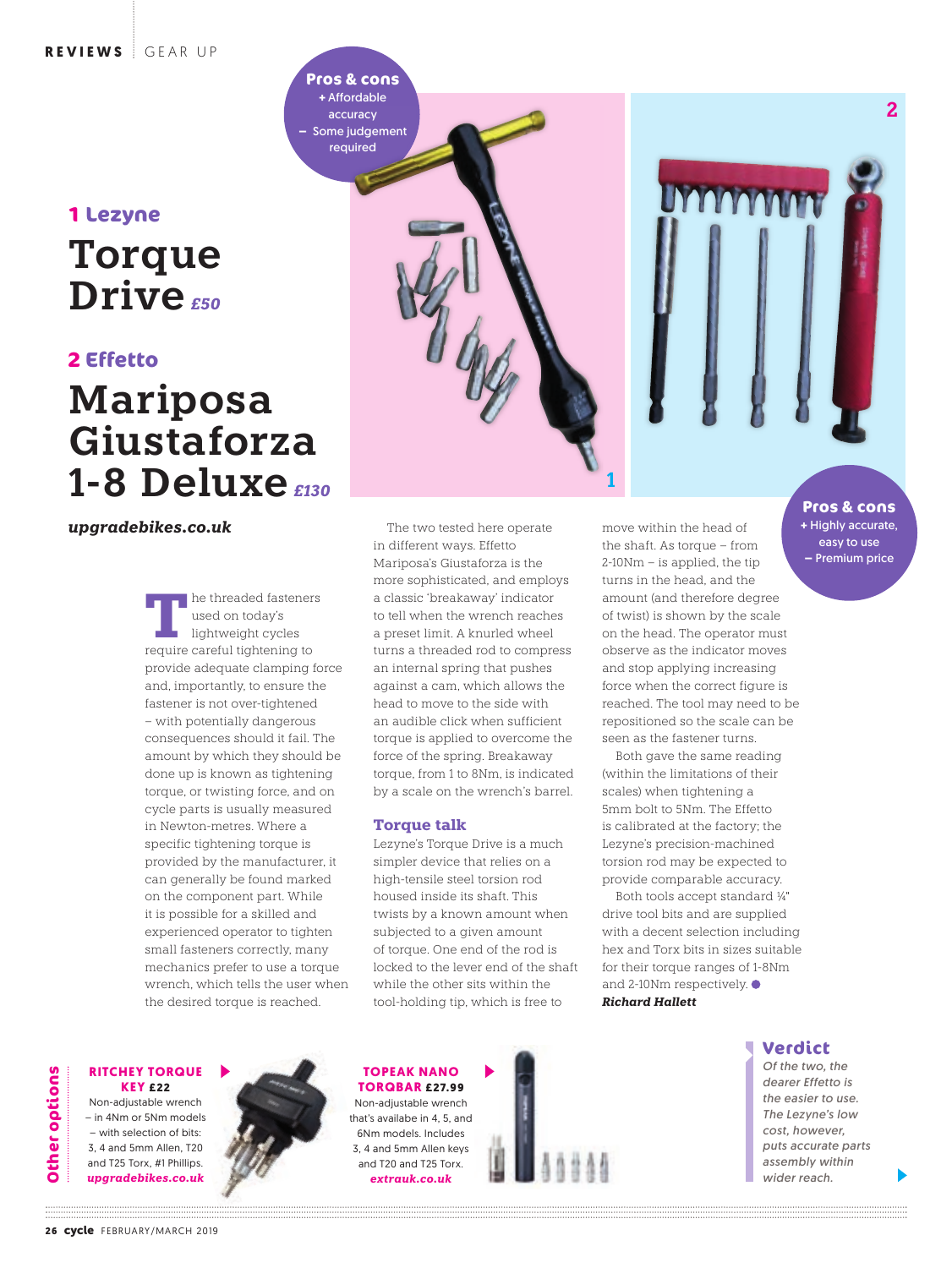## **Torque**  Drive<sub>*650</sub></sup></sub>* **1 Lezyne**

#### **2 Effetto**

## **Mariposa Giustaforza 1-8 Deluxe** *£130*

*upgradebikes.co.uk*

**T** he threaded fasteners used on today's lightweight cycles require careful tightening to provide adequate clamping force and, importantly, to ensure the fastener is not over-tightened – with potentially dangerous consequences should it fail. The amount by which they should be done up is known as tightening torque, or twisting force, and on cycle parts is usually measured in Newton-metres. Where a specific tightening torque is provided by the manufacturer, it can generally be found marked on the component part. While it is possible for a skilled and experienced operator to tighten small fasteners correctly, many mechanics prefer to use a torque wrench, which tells the user when the desired torque is reached.



The two tested here operate in different ways. Effetto Mariposa's Giustaforza is the more sophisticated, and employs a classic 'breakaway' indicator to tell when the wrench reaches a preset limit. A knurled wheel turns a threaded rod to compress an internal spring that pushes against a cam, which allows the head to move to the side with an audible click when sufficient torque is applied to overcome the force of the spring. Breakaway torque, from 1 to 8Nm, is indicated by a scale on the wrench's barrel.

#### **Torque talk**

**Pros & cons +** Affordable accuracy **–** Some judgement required

> Lezyne's Torque Drive is a much simpler device that relies on a high-tensile steel torsion rod housed inside its shaft. This twists by a known amount when subjected to a given amount of torque. One end of the rod is locked to the lever end of the shaft while the other sits within the tool-holding tip, which is free to

move within the head of the shaft. As torque – from 2-10Nm – is applied, the tip turns in the head, and the amount (and therefore degree of twist) is shown by the scale on the head. The operator must observe as the indicator moves and stop applying increasing force when the correct figure is reached. The tool may need to be repositioned so the scale can be seen as the fastener turns.

Both gave the same reading (within the limitations of their scales) when tightening a 5mm bolt to 5Nm. The Effetto is calibrated at the factory; the Lezyne's precision-machined torsion rod may be expected to provide comparable accuracy.

Both tools accept standard ¼" drive tool bits and are supplied with a decent selection including hex and Torx bits in sizes suitable for their torque ranges of 1-8Nm and 2-10Nm respectively. *Richard Hallett* 

#### **Verdict**

*Of the two, the dearer Effetto is the easier to use. The Lezyne's low cost, however, puts accurate parts assembly within wider reach.* 

easy to use **–** Premium price

**2**

#### **RITCHEY TORQUE KEY £22**

Non-adjustable wrench – in 4Nm or 5Nm models – with selection of bits: 3, 4 and 5mm Allen, T20 and T25 Torx, #1 Phillips. *upgradebikes.co.uk*



#### **TOPEAK NANO TORQBAR £27.99**

Non-adjustable wrench that's availabe in 4, 5, and 6Nm models. Includes 3, 4 and 5mm Allen keys and T20 and T25 Torx. *extrauk.co.uk*

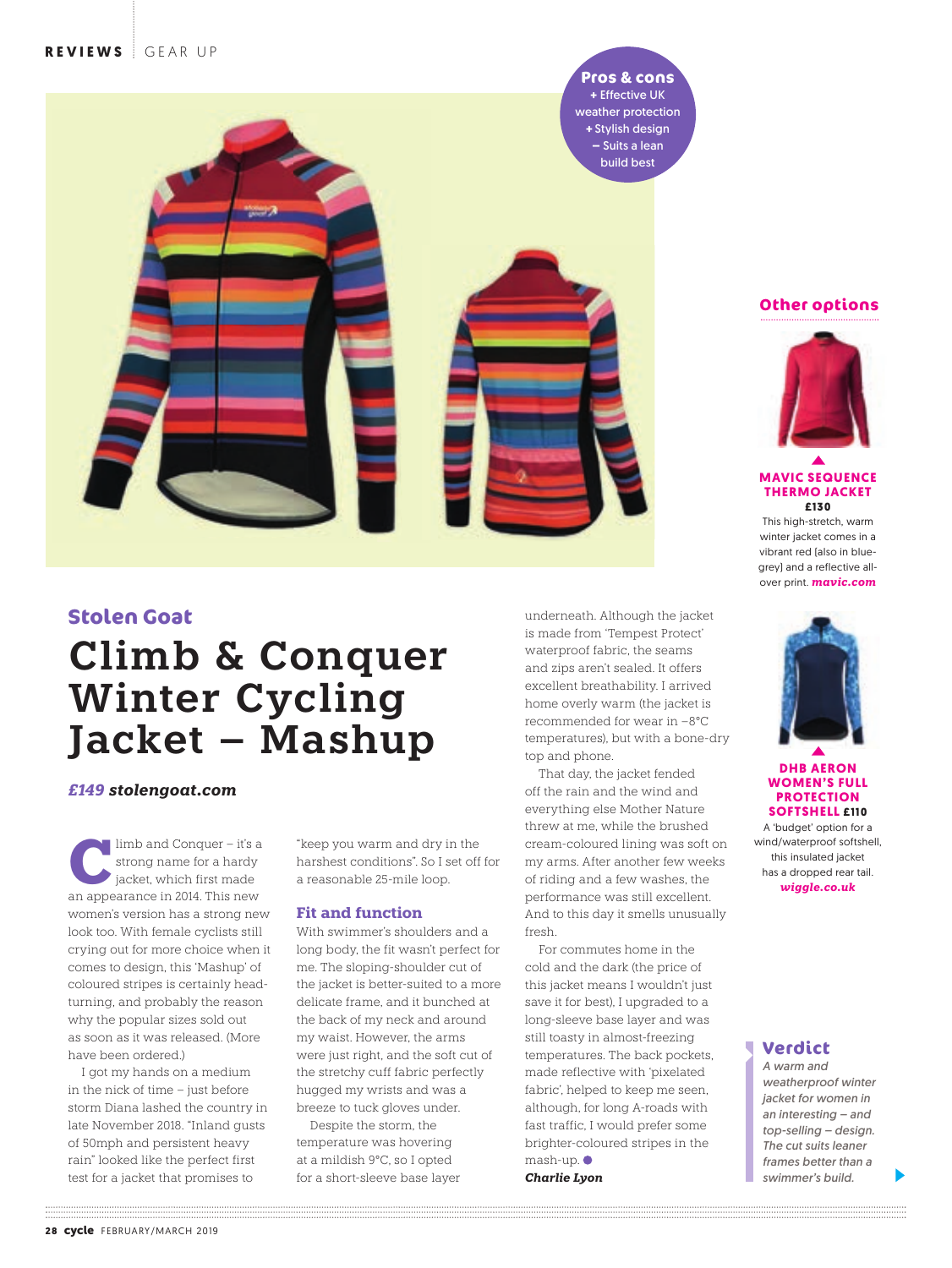**Pros & cons +** Effective UK weather protection **+** Stylish design **–** Suits a lean build best



#### **Stolen Goat**

## **Climb & Conquer Winter Cycling Jacket – Mashup**

*£149 stolengoat.com*

limb and Conquer – it's a strong name for a hardy jacket, which first made an appearance in 2014. This new women's version has a strong new look too. With female cyclists still crying out for more choice when it comes to design, this 'Mashup' of coloured stripes is certainly headturning, and probably the reason why the popular sizes sold out as soon as it was released. (More have been ordered.)

I got my hands on a medium in the nick of time – just before storm Diana lashed the country in late November 2018. "Inland gusts of 50mph and persistent heavy rain" looked like the perfect first test for a jacket that promises to

"keep you warm and dry in the harshest conditions". So I set off for a reasonable 25-mile loop.

#### **Fit and function**

With swimmer's shoulders and a long body, the fit wasn't perfect for me. The sloping-shoulder cut of the jacket is better-suited to a more delicate frame, and it bunched at the back of my neck and around my waist. However, the arms were just right, and the soft cut of the stretchy cuff fabric perfectly hugged my wrists and was a breeze to tuck gloves under.

Despite the storm, the temperature was hovering at a mildish 9°C, so I opted for a short-sleeve base layer underneath. Although the jacket is made from 'Tempest Protect' waterproof fabric, the seams and zips aren't sealed. It offers excellent breathability. I arrived home overly warm (the jacket is recommended for wear in –8°C temperatures), but with a bone-dry top and phone.

That day, the jacket fended off the rain and the wind and everything else Mother Nature threw at me, while the brushed cream-coloured lining was soft on my arms. After another few weeks of riding and a few washes, the performance was still excellent. And to this day it smells unusually fresh.

For commutes home in the cold and the dark (the price of this jacket means I wouldn't just save it for best). I upgraded to a long-sleeve base layer and was still toasty in almost-freezing temperatures. The back pockets, made reflective with 'pixelated fabric', helped to keep me seen, although, for long A-roads with fast traffic, I would prefer some brighter-coloured stripes in the mash-up.

*Charlie Lyon*

#### **Other options**



#### **MAVIC SEQUENCE THERMO JACKET £130**

This high-stretch, warm winter jacket comes in a vibrant red (also in bluegrey) and a reflective allover print. *mavic.com*



#### **DHB AERON WOMEN'S FULL PROTECTION SOFTSHELL £110**

A 'budget' option for a wind/waterproof softshell, this insulated jacket has a dropped rear tail. *wiggle.co.uk*

#### **Verdict**

*A warm and weatherproof winter jacket for women in an interesting – and top-selling – design. The cut suits leaner frames better than a swimmer's build.*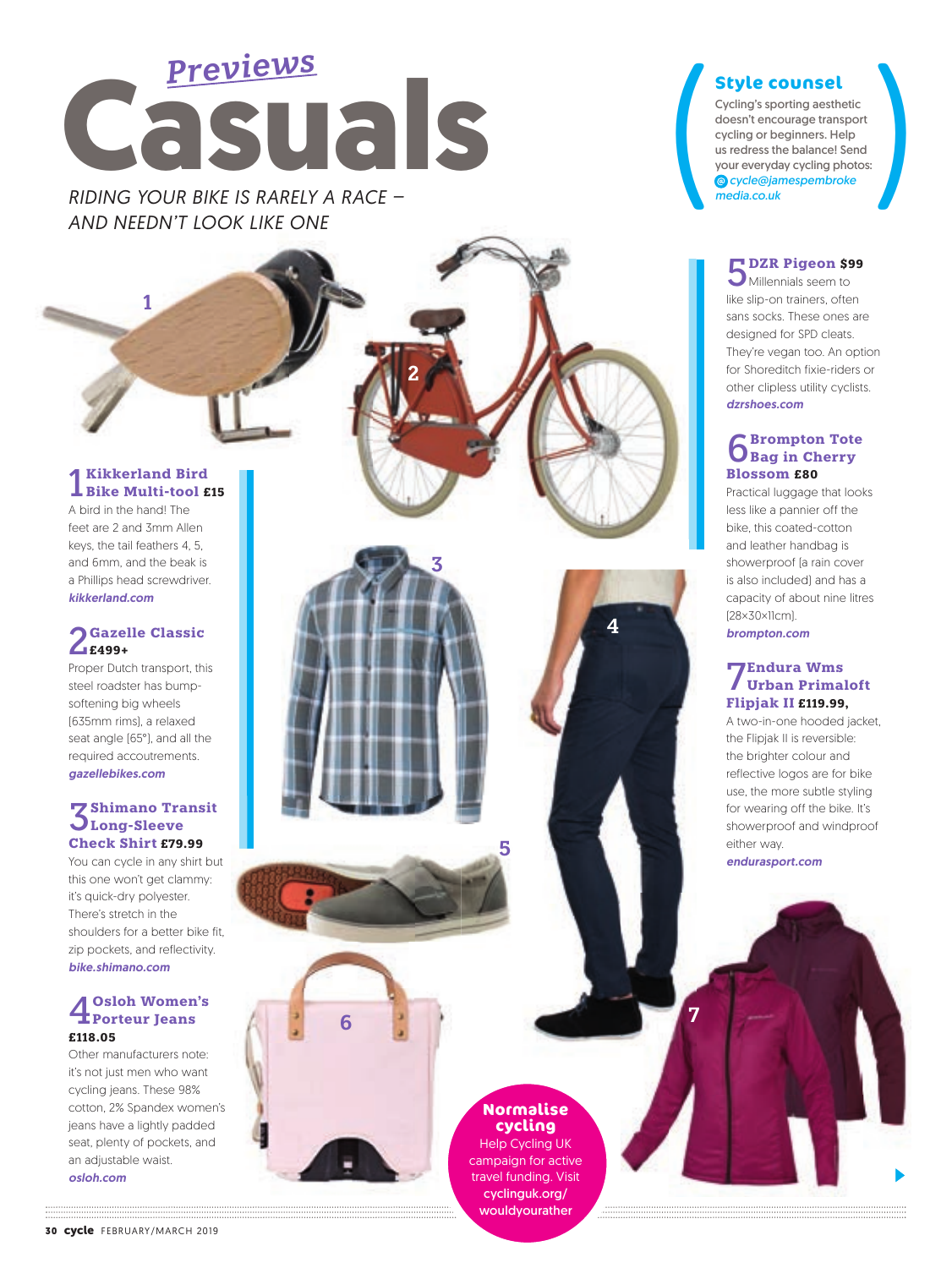

*RIDING YOUR BIKE IS RARELY A RACE – media.co.uk AND NEEDN'T LOOK LIKE ONE*

#### 1 **Kikkerland Bird Bike Multi-tool £15**

**1**

A bird in the hand! The feet are 2 and 3mm Allen keys, the tail feathers 4, 5, and 6mm, and the beak is a Phillips head screwdriver. *kikkerland.com*

## 2**Gazelle Classic £499+**

Proper Dutch transport, this steel roadster has bumpsoftening big wheels (635mm rims), a relaxed seat angle (65°), and all the required accoutrements. *gazellebikes.com*

#### **Z** Shimano Transit **Long-Sleeve Check Shirt £79.99**

You can cycle in any shirt but this one won't get clammy: it's quick-dry polyester. There's stretch in the shoulders for a better bike fit, zip pockets, and reflectivity. *bike.shimano.com*

### 4**Osloh Women's Porteur Jeans £118.05**

Other manufacturers note: it's not just men who want cycling jeans. These 98% cotton, 2% Spandex women's jeans have a lightly padded seat, plenty of pockets, and an adjustable waist. *osloh.com*



**2**





Style counsel<br>
Cycling's sporting aesthetic<br>
doesn't encourage transport<br>
cycling or beginners. Help<br>
us redress the balance! Send<br>
your everyday cycling photos:<br>
© cycle@jamespembroke<br>
media.co.uk Cycling's sporting aesthetic doesn't encourage transport cycling or beginners. Help us redress the balance! Send your everyday cycling photos: *cycle@jamespembroke*

5**DZR Pigeon \$99**

Millennials seem to like slip-on trainers, often sans socks. These ones are designed for SPD cleats. They're vegan too. An option for Shoreditch fixie-riders or other clipless utility cyclists. *dzrshoes.com*

## 6**Brompton Tote Bag in Cherry Blossom £80**

Practical luggage that looks less like a pannier off the bike, this coated-cotton and leather handbag is showerproof (a rain cover is also included) and has a capacity of about nine litres (28×30×11cm). *brompton.com*

#### 7**Endura Wms Urban Primaloft Flipjak II £119.99,**

A two-in-one hooded jacket, the Flipjak II is reversible: the brighter colour and reflective logos are for bike use, the more subtle styling for wearing off the bike. It's showerproof and windproof either way. *endurasport.com*

### **Normalise cycling**

**6 7**

**4**

Help Cycling UK campaign for active travel funding. Visit cyclinguk.org/ wouldyourather